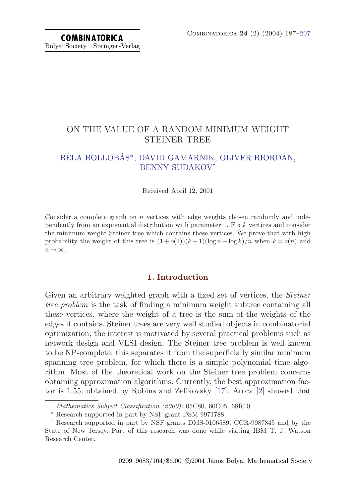# ON THE VALUE OF A RANDOM MINIMUM WEIGHT STEINER TREE

# BÉLA BOLLOBÁS\*, [DAVID GAMARNIK,](#page-19-0) [OLIVER RIORDAN,](#page-20-0) [BENNY SUDAKOV](#page-20-0)†

Received April 12, 2001

Consider a complete graph on  $n$  vertices with edge weights chosen randomly and independently from an exponential distribution with parameter 1. Fix k vertices and consider the minimum weight Steiner tree which contains these vertices. We prove that with high probability the weight of this tree is  $(1+o(1))(k-1)(\log n - \log k)/n$  when  $k = o(n)$  and  $n\rightarrow\infty$ .

## **1. Introduction**

Given an arbitrary weighted graph with a fixed set of vertices, the *Steiner* tree problem is the task of finding a minimum weight subtree containing all these vertices, where the weight of a tree is the sum of the weights of the edges it contains. Steiner trees are very well studied objects in combinatorial optimization; the interest is motivatedby several practical problems such as network design and VLSI design. The Steiner tree problem is well known to be NP-complete; this separates it from the superficially similar minimum spanning tree problem, for which there is a simple polynomial time algorithm. Most of the theoretical work on the Steiner tree problem concerns obtaining approximation algorithms. Currently, the best approximation factor is 1.55, obtained by Robins and Zelikovsky  $[17]$ . Arora  $[2]$  $[2]$  $[2]$  showed that

Mathematics Subject Classification (2000): 05C80, 60C05, 68R10

<sup>\*</sup> Research supported in part by NSF grant DSM9971788

<sup>†</sup> Research supported in part by NSF grants DMS-0106589, CCR-9987845 and by the State of New Jersey. Part of this research was done while visiting IBMT. J. Watson Research Center.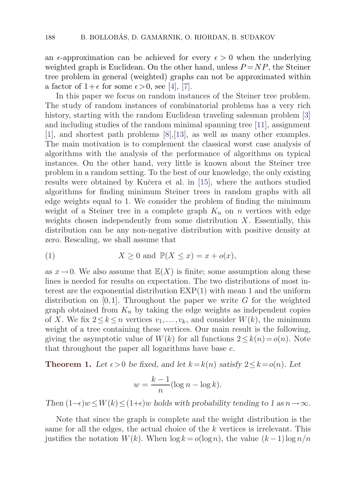<span id="page-1-0"></span>an  $\epsilon$ -approximation can be achieved for every  $\epsilon > 0$  when the underlying weighted graph is Euclidean. On the other hand, unless  $P = NP$ , the Steiner tree problem in general (weighted) graphs can not be approximated within a factor of  $1+\epsilon$  for some  $\epsilon > 0$ , see [[4](#page-19-0)], [\[7\]](#page-19-0).

In this paper we focus on random instances of the Steiner tree problem. The study of random instances of combinatorial problems has a very rich history, starting with the random Euclidean traveling salesman problem [[3](#page-19-0)] and including studies of the random minimal spanning tree [[11](#page-19-0)], assignment [[1](#page-18-0)], and shortest path problems  $[8]$  $[8]$ , [\[13](#page-19-0)], as well as many other examples. The main motivation is to complement the classical worst case analysis of algorithms with the analysis of the performance of algorithms on typical instances. On the other hand, very little is known about the Steiner tree problem in a random setting. To the best of our knowledge, the only existing results were obtained by Kučera et al. in [\[15\]](#page-19-0), where the authors studied algorithms for finding minimum Steiner trees in random graphs with all edge weights equal to 1. We consider the problem of finding the minimum weight of a Steiner tree in a complete graph  $K_n$  on n vertices with edge weights chosen independently from some distribution  $X$ . Essentially, this distribution can be any non-negative distribution with positive density at zero. Rescaling, we shall assume that

(1) 
$$
X \ge 0 \text{ and } \mathbb{P}(X \le x) = x + o(x),
$$

as  $x \to 0$ . We also assume that  $\mathbb{E}(X)$  is finite; some assumption along these lines is needed for results on expectation. The two distributions of most interest are the exponential distribution EXP(1) with mean 1 and the uniform distribution on [0,1]. Throughout the paper we write G for the weighted graph obtained from  $K_n$  by taking the edge weights as independent copies of X. We fix  $2 \leq k \leq n$  vertices  $v_1, \ldots, v_k$ , and consider  $W(k)$ , the minimum weight of a tree containing these vertices. Our main result is the following, giving the asymptotic value of  $W(k)$  for all functions  $2 \leq k(n) = o(n)$ . Note that throughout the paper all logarithms have base e.

**Theorem 1.** Let  $\epsilon > 0$  be fixed, and let  $k = k(n)$  satisfy  $2 \leq k = o(n)$ . Let

$$
w = \frac{k-1}{n} (\log n - \log k).
$$

*Then*  $(1-\epsilon)w \leq W(k) \leq (1+\epsilon)w$  *holds with probability tending to 1 as*  $n \rightarrow \infty$ *.* 

Note that since the graph is complete and the weight distribution is the same for all the edges, the actual choice of the k vertices is irrelevant. This justifies the notation  $W(k)$ . When  $\log k = o(\log n)$ , the value  $(k-1)\log n/n$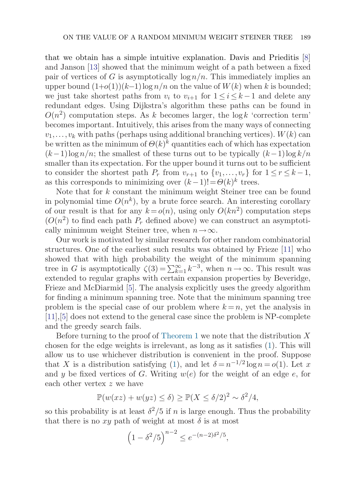that we obtain has a simple intuitive explanation. Davis and Prieditis  $[8]$  $[8]$  $[8]$ and Janson  $[13]$  $[13]$  showed that the minimum weight of a path between a fixed pair of vertices of G is asymptotically  $\log n/n$ . This immediately implies an upper bound  $(1+o(1))(k-1)\log n/n$  on the value of  $W(k)$  when k is bounded; we just take shortest paths from  $v_i$  to  $v_{i+1}$  for  $1 \leq i \leq k-1$  and delete any redundant edges. Using Dijkstra's algorithm these paths can be found in  $O(n^2)$  computation steps. As k becomes larger, the log k 'correction term' becomes important. Intuitively, this arises from the many ways of connecting  $v_1, \ldots, v_k$  with paths (perhaps using additional branching vertices).  $W(k)$  can be written as the minimum of  $\Theta(k)^k$  quantities each of which has expectation  $(k-1)\log n/n$ ; the smallest of these turns out to be typically  $(k-1)\log k/n$ smaller than its expectation. For the upper bound it turns out to be sufficient to consider the shortest path  $P_r$  from  $v_{r+1}$  to  $\{v_1,\ldots,v_r\}$  for  $1 \leq r \leq k-1$ , as this corresponds to minimizing over  $(k-1)! = \Theta(k)^k$  trees.

Note that for k constant the minimum weight Steiner tree can be found in polynomial time  $O(n^k)$ , by a brute force search. An interesting corollary of our result is that for any  $k = o(n)$ , using only  $O(kn^2)$  computation steps  $(O(n^2))$  to find each path  $P_r$  defined above) we can construct an asymptotically minimum weight Steiner tree, when  $n \to \infty$ .

Our work is motivated by similar research for other random combinatorial structures. One of the earliest such results was obtained by Frieze  $[11]$  $[11]$  who showed that with high probability the weight of the minimum spanning tree in G is asymptotically  $\zeta(3) = \sum_{k=1}^{\infty} k^{-3}$ , when  $n \to \infty$ . This result was extended to regular graphs with certain expansion properties by Beveridge, Frieze and McDiarmid [\[5\]](#page-19-0). The analysis explicitly uses the greedy algorithm for finding a minimum spanning tree. Note that the minimum spanning tree problem is the special case of our problem where  $k = n$ , yet the analysis in [[11\]](#page-19-0),[[5\]](#page-19-0) does not extend to the general case since the problem is NP-complete and the greedy search fails.

Before turning to the proof of [Theorem 1](#page-1-0) we note that the distribution  $X$ chosen for the edge weights is irrelevant, as long as it satisfies [\(1\)](#page-1-0). This will allow us to use whichever distribution is convenient in the proof. Suppose that X is a distribution satisfying ([1](#page-1-0)), and let  $\delta = n^{-1/2} \log n = o(1)$ . Let x and y be fixed vertices of G. Writing  $w(e)$  for the weight of an edge e, for each other vertex z we have

$$
\mathbb{P}(w(xz) + w(yz) \le \delta) \ge \mathbb{P}(X \le \delta/2)^2 \sim \delta^2/4,
$$

so this probability is at least  $\delta^2/5$  if n is large enough. Thus the probability that there is no xy path of weight at most  $\delta$  is at most

$$
\left(1 - \delta^2/5\right)^{n-2} \le e^{-(n-2)\delta^2/5},
$$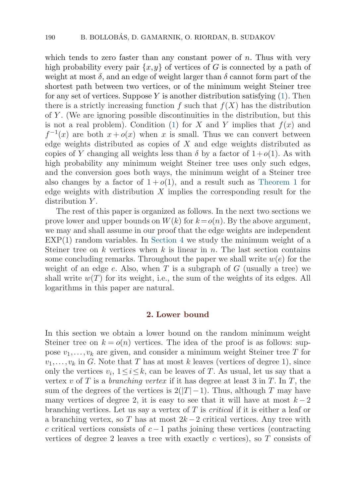which tends to zero faster than any constant power of  $n$ . Thus with very high probability every pair  $\{x,y\}$  of vertices of G is connected by a path of weight at most  $\delta$ , and an edge of weight larger than  $\delta$  cannot form part of the shortest path between two vertices, or of the minimum weight Steiner tree for any set of vertices. Suppose Y is another distribution satisfying  $(1)$  $(1)$ . Then there is a strictly increasing function f such that  $f(X)$  has the distribution of Y . (We are ignoring possible discontinuities in the distribution, but this is not a real problem). Condition ([1](#page-1-0)) for X and Y implies that  $f(x)$  and  $f^{-1}(x)$  are both  $x + o(x)$  when x is small. Thus we can convert between edge weights distributed as copies of  $X$  and edge weights distributed as copies of Y changing all weights less than  $\delta$  by a factor of  $1+o(1)$ . As with high probability any minimum weight Steiner tree uses only such edges, and the conversion goes both ways, the minimum weight of a Steiner tree also changes by a factor of  $1 + o(1)$ , and a result such as [Theorem 1](#page-1-0) for edge weights with distribution  $X$  implies the corresponding result for the distribution Y.

The rest of this paper is organized as follows. In the next two sections we prove lower and upper bounds on  $W(k)$  for  $k = o(n)$ . By the above argument, we may and shall assume in our proof that the edge weights are independent  $EXP(1)$  random variables. In [Section 4](#page-11-0) we study the minimum weight of a Steiner tree on  $k$  vertices when  $k$  is linear in  $n$ . The last section contains some concluding remarks. Throughout the paper we shall write  $w(e)$  for the weight of an edge e. Also, when  $T$  is a subgraph of  $G$  (usually a tree) we shall write  $w(T)$  for its weight, i.e., the sum of the weights of its edges. All logarithms in this paper are natural.

#### **2. Lower bound**

In this section we obtain a lower bound on the random minimum weight Steiner tree on  $k = o(n)$  vertices. The idea of the proof is as follows: suppose  $v_1, \ldots, v_k$  are given, and consider a minimum weight Steiner tree T for  $v_1, \ldots, v_k$  in G. Note that T has at most k leaves (vertices of degree 1), since only the vertices  $v_i$ ,  $1 \le i \le k$ , can be leaves of T. As usual, let us say that a vertex v of T is a branching vertex if it has degree at least 3 in T. In T, the sum of the degrees of the vertices is  $2(|T|-1)$ . Thus, although T may have many vertices of degree 2, it is easy to see that it will have at most  $k-2$ branching vertices. Let us say a vertex of T is critical if it is either a leaf or a branching vertex, so T has at most  $2k-2$  critical vertices. Any tree with c critical vertices consists of  $c-1$  paths joining these vertices (contracting vertices of degree 2 leaves a tree with exactly c vertices), so  $T$  consists of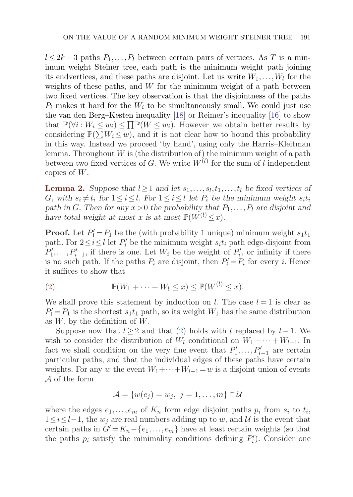<span id="page-4-0"></span> $l \leq 2k-3$  paths  $P_1, \ldots, P_l$  between certain pairs of vertices. As T is a minimum weight Steiner tree, each path is the minimum weight path joining its endvertices, and these paths are disjoint. Let us write  $W_1, \ldots, W_l$  for the weights of these paths, and  $W$  for the minimum weight of a path between two fixed vertices. The key observation is that the disjointness of the paths  $P_i$  makes it hard for the  $W_i$  to be simultaneously small. We could just use the van den Berg–Kesten inequality [[18\]](#page-19-0) or Reimer's inequality [[16](#page-19-0)] to show that  $\mathbb{P}(\forall i: W_i \leq w_i) \leq \prod \mathbb{P}(W \leq w_i)$ . However we obtain better results by considering  $\mathbb{P}(\sum W_i \leq w)$ , and it is not clear how to bound this probability in this way. Instead we proceed 'by hand', using only the Harris–Kleitman lemma. Throughout  $W$  is (the distribution of) the minimum weight of a path between two fixed vertices of G. We write  $W^{(l)}$  for the sum of l independent copies of W.

**Lemma 2.** Suppose that  $l \geq 1$  and let  $s_1, \ldots, s_l, t_1, \ldots, t_l$  be fixed vertices of G, with  $s_i \neq t_i$  for  $1 \leq i \leq l$ . For  $1 \leq i \leq l$  let  $P_i$  be the minimum weight  $s_i t_i$ path in G. Then for any  $x > 0$  the probability that  $P_1, \ldots, P_l$  are disjoint and *have total weight at most* x *is at most*  $\mathbb{P}(W^{(l)} \leq x)$ *.* 

**Proof.** Let  $P'_1 = P_1$  be the (with probability 1 unique) minimum weight  $s_1 t_1$ path. For  $2 \le i \le l$  let  $P'_i$  be the minimum weight  $s_i t_i$  path edge-disjoint from  $P'_1, \ldots, P'_{i-1}$ , if there is one. Let  $W_i$  be the weight of  $P'_i$ , or infinity if there is no such path. If the paths  $P_i$  are disjoint, then  $P'_i = P_i$  for every *i*. Hence it suffices to show that

(2) 
$$
\mathbb{P}(W_1 + \cdots + W_l \leq x) \leq \mathbb{P}(W^{(l)} \leq x).
$$

We shall prove this statement by induction on l. The case  $l = 1$  is clear as  $P'_1 = P_1$  is the shortest  $s_1t_1$  path, so its weight  $W_1$  has the same distribution as  $W$ , by the definition of  $W$ .

Suppose now that  $l \geq 2$  and that (2) holds with l replaced by  $l-1$ . We wish to consider the distribution of  $W_l$  conditional on  $W_1 + \cdots + W_{l-1}$ . In fact we shall condition on the very fine event that  $P'_1, \ldots, P'_{l-1}$  are certain particular paths, and that the individual edges of these paths have certain weights. For any w the event  $W_1+\cdots+W_{l-1}=w$  is a disjoint union of events A of the form

$$
\mathcal{A} = \{w(e_j) = w_j, \ j = 1, \dots, m\} \cap \mathcal{U}
$$

where the edges  $e_1, \ldots, e_m$  of  $K_n$  form edge disjoint paths  $p_i$  from  $s_i$  to  $t_i$ ,  $1 \leq i \leq l-1$ , the  $w_i$  are real numbers adding up to w, and U is the event that certain paths in  $G' = K_n - \{e_1, \ldots, e_m\}$  have at least certain weights (so that the paths  $p_i$  satisfy the minimality conditions defining  $P'_i$ ). Consider one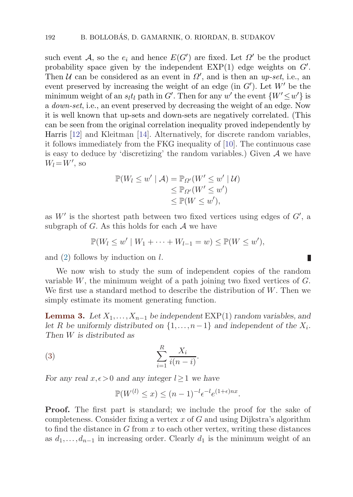<span id="page-5-0"></span>such event A, so the  $e_i$  and hence  $E(G')$  are fixed. Let  $\Omega'$  be the product probability space given by the independent  $EXP(1)$  edge weights on  $G'$ . Then U can be considered as an event in  $\Omega'$ , and is then an up-set, i.e., an event preserved by increasing the weight of an edge (in  $G'$ ). Let  $W'$  be the minimum weight of an  $s_l t_l$  path in G'. Then for any w' the event  $\{W' \leq w'\}$  is a down-set, i.e., an event preserved by decreasing the weight of an edge. Now it is well known that up-sets and down-sets are negatively correlated. (This can be seen from the original correlation inequality proved independently by Harris [\[12\]](#page-19-0) and Kleitman [[14](#page-19-0)]. Alternatively, for discrete random variables, it follows immediately from the FKG inequality of [[10\]](#page-19-0). The continuous case is easy to deduce by 'discretizing' the random variables.) Given  $A$  we have  $W_l = W'$ , so

$$
\mathbb{P}(W_l \le w' \mid \mathcal{A}) = \mathbb{P}_{\Omega'}(W' \le w' \mid \mathcal{U})
$$
  
\n
$$
\le \mathbb{P}_{\Omega'}(W' \le w')
$$
  
\n
$$
\le \mathbb{P}(W \le w'),
$$

as  $W'$  is the shortest path between two fixed vertices using edges of  $G'$ , a subgraph of  $G$ . As this holds for each  $A$  we have

$$
\mathbb{P}(W_l \leq w' \mid W_1 + \dots + W_{l-1} = w) \leq \mathbb{P}(W \leq w'),
$$

П

and  $(2)$  $(2)$  follows by induction on l.

We now wish to study the sum of independent copies of the random variable  $W$ , the minimum weight of a path joining two fixed vertices of  $G$ . We first use a standard method to describe the distribution of W. Then we simply estimate its moment generating function.

**Lemma 3.** Let  $X_1, \ldots, X_{n-1}$  be independent EXP(1) random variables, and *let* R *be uniformly distributed on*  $\{1, \ldots, n-1\}$  *and independent of the*  $X_i$ *. Then* W *is distributed as*

$$
\sum_{i=1}^{R} \frac{X_i}{i(n-i)}.
$$

*For any real*  $x, \epsilon > 0$  *and any integer*  $l \geq 1$  *we have* 

$$
\mathbb{P}(W^{(l)} \le x) \le (n-1)^{-l} \epsilon^{-l} e^{(1+\epsilon)nx}.
$$

**Proof.** The first part is standard; we include the proof for the sake of completeness. Consider fixing a vertex  $x$  of  $G$  and using Dijkstra's algorithm to find the distance in G from x to each other vertex, writing these distances as  $d_1, \ldots, d_{n-1}$  in increasing order. Clearly  $d_1$  is the minimum weight of an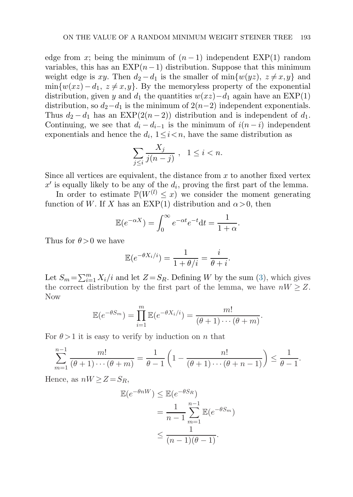edge from x; being the minimum of  $(n-1)$  independent EXP(1) random variables, this has an  $EXP(n-1)$  distribution. Suppose that this minimum weight edge is xy. Then  $d_2 - d_1$  is the smaller of min $\{w(yz), z \neq x, y\}$  and  $\min\{w(xz)-d_1, z\neq x,y\}$ . By the memoryless property of the exponential distribution, given y and  $d_1$  the quantities  $w(xz)-d_1$  again have an EXP(1) distribution, so  $d_2-d_1$  is the minimum of  $2(n-2)$  independent exponentials. Thus  $d_2 - d_1$  has an EXP(2(n − 2)) distribution and is independent of  $d_1$ . Continuing, we see that  $d_i - d_{i-1}$  is the minimum of  $i(n-i)$  independent exponentials and hence the  $d_i$ ,  $1 \leq i \leq n$ , have the same distribution as

$$
\sum_{j\leq i}\frac{X_j}{j(n-j)}, \quad 1\leq i < n.
$$

Since all vertices are equivalent, the distance from  $x$  to another fixed vertex  $x'$  is equally likely to be any of the  $d_i$ , proving the first part of the lemma.

In order to estimate  $\mathbb{P}(W^{(l)} \leq x)$  we consider the moment generating function of W. If X has an EXP(1) distribution and  $\alpha > 0$ , then

$$
\mathbb{E}(e^{-\alpha X}) = \int_0^\infty e^{-\alpha t} e^{-t} dt = \frac{1}{1+\alpha}.
$$

Thus for  $\theta > 0$  we have

$$
\mathbb{E}(e^{-\theta X_i/i}) = \frac{1}{1 + \theta/i} = \frac{i}{\theta + i}.
$$

Let  $S_m = \sum_{i=1}^m X_i/i$  and let  $Z = S_R$ . Defining W by the sum [\(3\)](#page-5-0), which gives the correct distribution by the first part of the lemma, we have  $nW \geq Z$ . Now

$$
\mathbb{E}(e^{-\theta S_m}) = \prod_{i=1}^m \mathbb{E}(e^{-\theta X_i/i}) = \frac{m!}{(\theta+1)\cdots(\theta+m)}.
$$

For  $\theta > 1$  it is easy to verify by induction on n that

$$
\sum_{m=1}^{n-1} \frac{m!}{(\theta+1)\cdots(\theta+m)} = \frac{1}{\theta-1} \left(1 - \frac{n!}{(\theta+1)\cdots(\theta+n-1)}\right) \le \frac{1}{\theta-1}.
$$

Hence, as  $nW \geq Z = S_R$ ,

$$
\mathbb{E}(e^{-\theta nW}) \leq \mathbb{E}(e^{-\theta S_R})
$$
  
= 
$$
\frac{1}{n-1} \sum_{m=1}^{n-1} \mathbb{E}(e^{-\theta S_m})
$$
  

$$
\leq \frac{1}{(n-1)(\theta - 1)}.
$$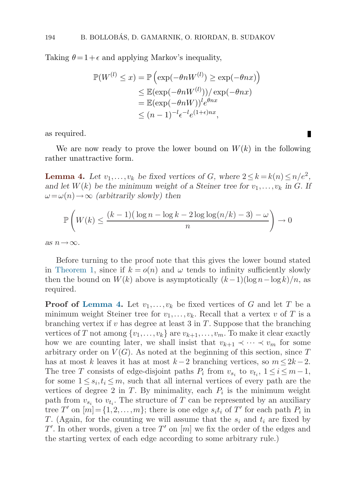<span id="page-7-0"></span>Taking  $\theta = 1 + \epsilon$  and applying Markov's inequality,

$$
\mathbb{P}(W^{(l)} \le x) = \mathbb{P}\left(\exp(-\theta n W^{(l)}) \ge \exp(-\theta n x)\right)
$$
  
\n
$$
\le \mathbb{E}(\exp(-\theta n W^{(l)}))/\exp(-\theta n x)
$$
  
\n
$$
= \mathbb{E}(\exp(-\theta n W))^l e^{\theta n x}
$$
  
\n
$$
\le (n-1)^{-l} e^{-l} e^{(1+\epsilon)n x},
$$

as required.

We are now ready to prove the lower bound on  $W(k)$  in the following rather unattractive form.

П

**Lemma 4.** Let  $v_1, \ldots, v_k$  be fixed vertices of G, where  $2 \le k = k(n) \le n/e^2$ , and let  $W(k)$  be the minimum weight of a Steiner tree for  $v_1, \ldots, v_k$  in G. If  $\omega = \omega(n) \rightarrow \infty$  *(arbitrarily slowly) then* 

$$
\mathbb{P}\left(W(k) \le \frac{(k-1)\left(\log n - \log k - 2\log\log(n/k) - 3\right) - \omega}{n}\right) \to 0
$$

*as*  $n \rightarrow \infty$ *.* 

Before turning to the proof note that this gives the lower bound stated in [Theorem 1,](#page-1-0) since if  $k = o(n)$  and  $\omega$  tends to infinity sufficiently slowly then the bound on  $W(k)$  above is asymptotically  $(k-1)(\log n - \log k)/n$ , as required.

**Proof of Lemma 4.** Let  $v_1, \ldots, v_k$  be fixed vertices of G and let T be a minimum weight Steiner tree for  $v_1, \ldots, v_k$ . Recall that a vertex v of T is a branching vertex if v has degree at least 3 in  $T$ . Suppose that the branching vertices of T not among  $\{v_1,\ldots,v_k\}$  are  $v_{k+1},\ldots,v_m$ . To make it clear exactly how we are counting later, we shall insist that  $v_{k+1} \prec \cdots \prec v_m$  for some arbitrary order on  $V(G)$ . As noted at the beginning of this section, since T has at most k leaves it has at most  $k-2$  branching vertices, so  $m \leq 2k-2$ . The tree T consists of edge-disjoint paths  $P_i$  from  $v_{s_i}$  to  $v_{t_i}$ ,  $1 \le i \le m-1$ , for some  $1 \leq s_i, t_i \leq m$ , such that all internal vertices of every path are the vertices of degree 2 in  $T$ . By minimality, each  $P_i$  is the minimum weight path from  $v_{s_i}$  to  $v_{t_i}$ . The structure of T can be represented by an auxiliary tree T' on  $[m] = \{1, 2, ..., m\}$ ; there is one edge  $s_it_i$  of T' for each path  $P_i$  in T. (Again, for the counting we will assume that the  $s_i$  and  $t_i$  are fixed by  $T'$ . In other words, given a tree  $T'$  on  $[m]$  we fix the order of the edges and the starting vertex of each edge according to some arbitrary rule.)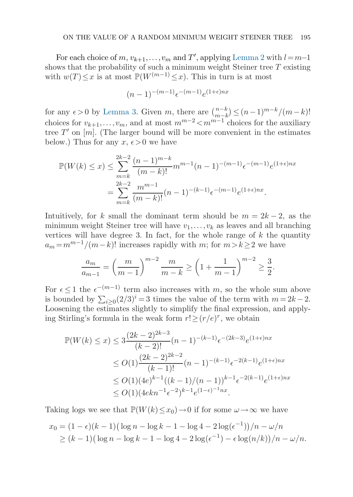For each choice of  $m, v_{k+1}, \ldots, v_m$  and  $T'$ , applying [Lemma 2](#page-4-0) with  $l=m-1$ shows that the probability of such a minimum weight Steiner tree  $T$  existing with  $w(T) \leq x$  is at most  $\mathbb{P}(W^{(m-1)} \leq x)$ . This in turn is at most

$$
(n-1)^{-(m-1)}\epsilon^{-(m-1)}e^{(1+\epsilon)nx}
$$

for any  $\epsilon > 0$  by [Lemma 3.](#page-5-0) Given m, there are  $\binom{n-k}{m-k} \leq (n-1)^{m-k}/(m-k)!$ choices for  $v_{k+1},...,v_m$ , and at most  $m^{m-2} < m^{m-1}$  choices for the auxiliary tree  $T'$  on  $[m]$ . (The larger bound will be more convenient in the estimates below.) Thus for any  $x, \epsilon > 0$  we have

$$
\mathbb{P}(W(k) \le x) \le \sum_{m=k}^{2k-2} \frac{(n-1)^{m-k}}{(m-k)!} m^{m-1} (n-1)^{-(m-1)} \epsilon^{-(m-1)} e^{(1+\epsilon)nx}
$$
  
= 
$$
\sum_{m=k}^{2k-2} \frac{m^{m-1}}{(m-k)!} (n-1)^{-(k-1)} \epsilon^{-(m-1)} e^{(1+\epsilon)nx}.
$$

Intuitively, for k small the dominant term should be  $m = 2k - 2$ , as the minimum weight Steiner tree will have  $v_1, \ldots, v_k$  as leaves and all branching vertices will have degree 3. In fact, for the whole range of  $k$  the quantity  $a_m = m^{m-1}/(m-k)!$  increases rapidly with m; for  $m > k \geq 2$  we have

$$
\frac{a_m}{a_{m-1}} = \left(\frac{m}{m-1}\right)^{m-2} \frac{m}{m-k} \ge \left(1 + \frac{1}{m-1}\right)^{m-2} \ge \frac{3}{2}.
$$

For  $\epsilon \leq 1$  the  $\epsilon^{-(m-1)}$  term also increases with m, so the whole sum above is bounded by  $\sum_{i\geq 0} (2/3)^i = 3$  times the value of the term with  $m = 2k - 2$ . Loosening the estimates slightly to simplify the final expression, and applying Stirling's formula in the weak form  $r! \ge (r/e)^r$ , we obtain

$$
\mathbb{P}(W(k) \le x) \le 3 \frac{(2k-2)^{2k-3}}{(k-2)!} (n-1)^{-(k-1)} \epsilon^{-(2k-3)} e^{(1+\epsilon)nx}
$$
  
\n
$$
\le O(1) \frac{(2k-2)^{2k-2}}{(k-1)!} (n-1)^{-(k-1)} \epsilon^{-2(k-1)} e^{(1+\epsilon)nx}
$$
  
\n
$$
\le O(1) (4e)^{k-1} ((k-1)/(n-1))^{k-1} \epsilon^{-2(k-1)} e^{(1+\epsilon)nx}
$$
  
\n
$$
\le O(1) (4ekn^{-1} \epsilon^{-2})^{k-1} e^{(1-\epsilon)^{-1}nx}.
$$

Taking logs we see that  $\mathbb{P}(W(k) \leq x_0) \to 0$  if for some  $\omega \to \infty$  we have

$$
x_0 = (1 - \epsilon)(k - 1)(\log n - \log k - 1 - \log 4 - 2\log(\epsilon^{-1}))/n - \omega/n
$$
  
 
$$
\ge (k - 1)(\log n - \log k - 1 - \log 4 - 2\log(\epsilon^{-1}) - \epsilon \log(n/k))/n - \omega/n.
$$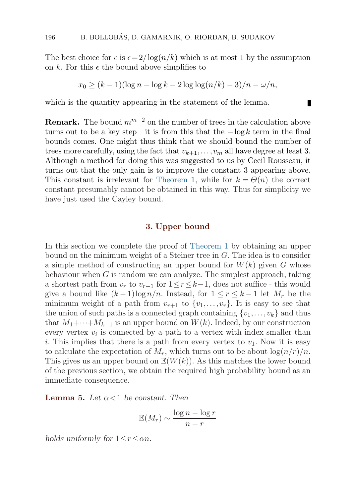<span id="page-9-0"></span>The best choice for  $\epsilon$  is  $\epsilon = 2/\log(n/k)$  which is at most 1 by the assumption on k. For this  $\epsilon$  the bound above simplifies to

$$
x_0 \ge (k-1)(\log n - \log k - 2\log\log(n/k) - 3)/n - \omega/n,
$$

П

which is the quantity appearing in the statement of the lemma.

**Remark.** The bound  $m^{m-2}$  on the number of trees in the calculation above turns out to be a key step—it is from this that the  $-\log k$  term in the final bounds comes. One might thus think that we should bound the number of trees more carefully, using the fact that  $v_{k+1},...,v_m$  all have degree at least 3. Although a method for doing this was suggested to us by Cecil Rousseau, it turns out that the only gain is to improve the constant 3 appearing above. This constant is irrelevant for [Theorem 1](#page-1-0), while for  $k = \Theta(n)$  the correct constant presumably cannot be obtained in this way. Thus for simplicity we have just used the Cayley bound.

#### **3. Upper bound**

In this section we complete the proof of [Theorem 1](#page-1-0) by obtaining an upper bound on the minimum weight of a Steiner tree in  $G$ . The idea is to consider a simple method of constructing an upper bound for  $W(k)$  given G whose behaviour when  $G$  is random we can analyze. The simplest approach, taking a shortest path from  $v_r$  to  $v_{r+1}$  for  $1 \leq r \leq k-1$ , does not suffice - this would give a bound like  $(k-1)\log n/n$ . Instead, for  $1 \leq r \leq k-1$  let  $M_r$  be the minimum weight of a path from  $v_{r+1}$  to  $\{v_1,\ldots,v_r\}$ . It is easy to see that the union of such paths is a connected graph containing  $\{v_1,\ldots,v_k\}$  and thus that  $M_1+\cdots+M_{k-1}$  is an upper bound on  $W(k)$ . Indeed, by our construction every vertex  $v_i$  is connected by a path to a vertex with index smaller than i. This implies that there is a path from every vertex to  $v_1$ . Now it is easy to calculate the expectation of  $M_r$ , which turns out to be about  $\log(n/r)/n$ . This gives us an upper bound on  $\mathbb{E}(W(k))$ . As this matches the lower bound of the previous section, we obtain the requiredhigh probability boundas an immediate consequence.

**Lemma 5.** Let  $\alpha < 1$  be constant. Then

$$
\mathbb{E}(M_r) \sim \frac{\log n - \log r}{n - r}
$$

*holds uniformly for*  $1 \le r \le \alpha n$ *.*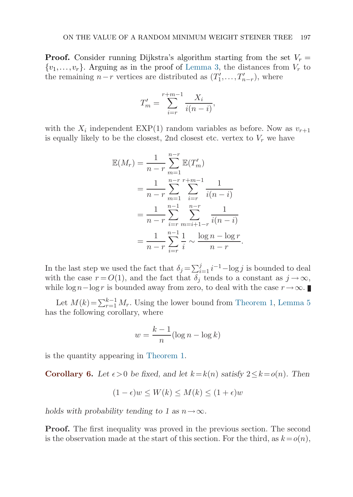**Proof.** Consider running Dijkstra's algorithm starting from the set  $V_r =$  $\{v_1,\ldots,v_r\}$ . Arguing as in the proof of [Lemma 3,](#page-5-0) the distances from  $V_r$  to the remaining  $n-r$  vertices are distributed as  $(T'_1, \ldots, T'_{n-r})$ , where

$$
T'_{m} = \sum_{i=r}^{r+m-1} \frac{X_i}{i(n-i)},
$$

with the  $X_i$  independent EXP(1) random variables as before. Now as  $v_{r+1}$ is equally likely to be the closest, 2nd closest etc. vertex to  $V_r$  we have

$$
\mathbb{E}(M_r) = \frac{1}{n-r} \sum_{m=1}^{n-r} \mathbb{E}(T'_m)
$$
  
= 
$$
\frac{1}{n-r} \sum_{m=1}^{n-r} \sum_{i=r}^{r+m-1} \frac{1}{i(n-i)}
$$
  
= 
$$
\frac{1}{n-r} \sum_{i=r}^{n-1} \sum_{m=i+1-r}^{n-r} \frac{1}{i(n-i)}
$$
  
= 
$$
\frac{1}{n-r} \sum_{i=r}^{n-1} \frac{1}{i} \sim \frac{\log n - \log r}{n-r}.
$$

In the last step we used the fact that  $\delta_j = \sum_{i=1}^j i^{-1} - \log j$  is bounded to deal with the case  $r = O(1)$ , and the fact that  $\delta_i$  tends to a constant as  $j \to \infty$ , while log  $n - \log r$  is bounded away from zero, to deal with the case  $r \to \infty$ .

Let  $M(k)=\sum_{r=1}^{k-1} M_r$ . Using the lower bound from [Theorem 1,](#page-1-0) [Lemma 5](#page-9-0) has the following corollary, where

$$
w = \frac{k-1}{n} (\log n - \log k)
$$

is the quantity appearing in [Theorem 1.](#page-1-0)

**Corollary 6.** Let  $\epsilon > 0$  be fixed, and let  $k = k(n)$  satisfy  $2 \leq k = o(n)$ . Then

$$
(1 - \epsilon)w \le W(k) \le M(k) \le (1 + \epsilon)w
$$

*holds with probability tending to 1 as*  $n \rightarrow \infty$ *.* 

**Proof.** The first inequality was proved in the previous section. The second is the observation made at the start of this section. For the third, as  $k=o(n)$ ,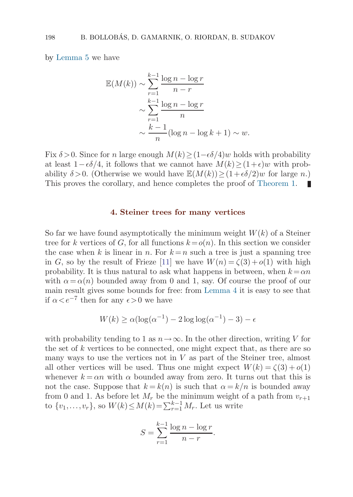<span id="page-11-0"></span>by [Lemma 5](#page-9-0) we have

$$
\mathbb{E}(M(k)) \sim \sum_{r=1}^{k-1} \frac{\log n - \log r}{n-r}
$$

$$
\sim \sum_{r=1}^{k-1} \frac{\log n - \log r}{n}
$$

$$
\sim \frac{k-1}{n} (\log n - \log k + 1) \sim w.
$$

Fix  $\delta > 0$ . Since for n large enough  $M(k) \geq (1-\epsilon \delta/4)w$  holds with probability at least  $1-\epsilon\delta/4$ , it follows that we cannot have  $M(k) \ge (1+\epsilon)w$  with probability  $\delta > 0$ . (Otherwise we would have  $\mathbb{E}(M(k)) > (1+\epsilon \delta/2)w$  for large n.) This proves the corollary, and hence completes the proof of [Theorem 1.](#page-1-0)

#### **4. Steiner trees for many vertices**

So far we have found asymptotically the minimum weight  $W(k)$  of a Steiner tree for k vertices of G, for all functions  $k = o(n)$ . In this section we consider the case when k is linear in n. For  $k = n$  such a tree is just a spanning tree in G, so by the result of Frieze [\[11](#page-19-0)] we have  $W(n) = \zeta(3) + o(1)$  with high probability. It is thus natural to ask what happens in between, when  $k = \alpha n$ with  $\alpha = \alpha(n)$  bounded away from 0 and 1, say. Of course the proof of our main result gives some bounds for free: from [Lemma 4](#page-7-0) it is easy to see that if  $\alpha < e^{-7}$  then for any  $\epsilon > 0$  we have

$$
W(k) \ge \alpha (\log(\alpha^{-1}) - 2 \log \log(\alpha^{-1}) - 3) - \epsilon
$$

with probability tending to 1 as  $n\rightarrow\infty$ . In the other direction, writing V for the set of  $k$  vertices to be connected, one might expect that, as there are so many ways to use the vertices not in  $V$  as part of the Steiner tree, almost all other vertices will be used. Thus one might expect  $W(k) = \zeta(3) + o(1)$ whenever  $k = \alpha n$  with  $\alpha$  bounded away from zero. It turns out that this is not the case. Suppose that  $k = k(n)$  is such that  $\alpha = k/n$  is bounded away from 0 and 1. As before let  $M_r$  be the minimum weight of a path from  $v_{r+1}$ to  $\{v_1, \ldots, v_r\}$ , so  $W(k) \leq M(k) = \sum_{r=1}^{k-1} M_r$ . Let us write

$$
S = \sum_{r=1}^{k-1} \frac{\log n - \log r}{n - r}.
$$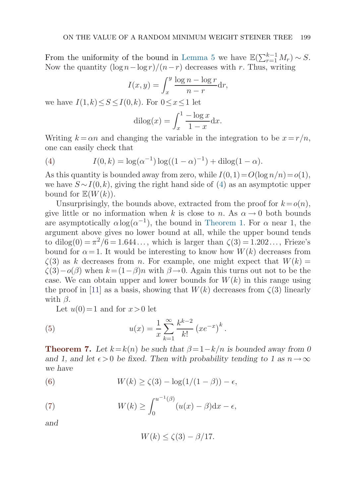<span id="page-12-0"></span>From the uniformity of the bound in [Lemma 5](#page-9-0) we have  $\mathbb{E}(\sum_{r=1}^{k-1} M_r) \sim S$ . Now the quantity  $(\log n - \log r)/(n-r)$  decreases with r. Thus, writing

$$
I(x,y) = \int_x^y \frac{\log n - \log r}{n - r} dr,
$$

we have  $I(1, k) \leq S \leq I(0, k)$ . For  $0 \leq x \leq 1$  let

$$
dilog(x) = \int_x^1 \frac{-\log x}{1 - x} dx.
$$

Writing  $k = \alpha n$  and changing the variable in the integration to be  $x = r/n$ , one can easily check that

(4) 
$$
I(0,k) = \log(\alpha^{-1})\log((1-\alpha)^{-1}) + \text{dilog}(1-\alpha).
$$

As this quantity is bounded away from zero, while  $I(0,1)=O(\log n/n)=o(1)$ , we have  $S \sim I(0, k)$ , giving the right hand side of (4) as an asymptotic upper bound for  $\mathbb{E}(W(k))$ .

Unsurprisingly, the bounds above, extracted from the proof for  $k = o(n)$ , give little or no information when k is close to n. As  $\alpha \rightarrow 0$  both bounds are asymptotically  $\alpha \log(\alpha^{-1})$ , the bound in [Theorem 1](#page-1-0). For  $\alpha$  near 1, the argument above gives no lower bound at all, while the upper bound tends to dilog(0) =  $\pi^2/6$  = 1.644..., which is larger than  $\zeta(3)$  = 1.202..., Frieze's bound for  $\alpha = 1$ . It would be interesting to know how  $W(k)$  decreases from  $\zeta(3)$  as k decreases from n. For example, one might expect that  $W(k)$  =  $\zeta(3)-o(\beta)$  when  $k=(1-\beta)n$  with  $\beta\rightarrow 0$ . Again this turns out not to be the case. We can obtain upper and lower bounds for  $W(k)$  in this range using the proof in [\[11](#page-19-0)] as a basis, showing that  $W(k)$  decreases from  $\zeta(3)$  linearly with  $\beta$ .

Let  $u(0)=1$  and for  $x>0$  let

(5) 
$$
u(x) = \frac{1}{x} \sum_{k=1}^{\infty} \frac{k^{k-2}}{k!} (xe^{-x})^k.
$$

**Theorem 7.** Let  $k = k(n)$  be such that  $\beta = 1 - k/n$  is bounded away from 0 and 1, and let  $\epsilon > 0$  be fixed. Then with probability tending to 1 as  $n \to \infty$ *we have*

(6)  $W(k) > \zeta(3) - \log(1/(1-\beta)) - \epsilon$ 

(7) 
$$
W(k) \geq \int_0^{u^{-1}(\beta)} (u(x) - \beta) dx - \epsilon,
$$

*and*

$$
W(k) \le \zeta(3) - \beta/17.
$$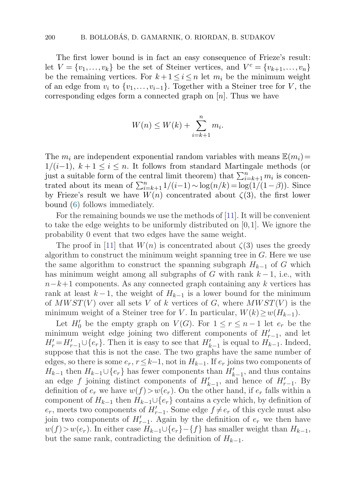The first lower bound is in fact an easy consequence of Frieze's result: let  $V = \{v_1, \ldots, v_k\}$  be the set of Steiner vertices, and  $V^c = \{v_{k+1}, \ldots, v_n\}$ be the remaining vertices. For  $k+1 \leq i \leq n$  let  $m_i$  be the minimum weight of an edge from  $v_i$  to  $\{v_1,\ldots,v_{i-1}\}\$ . Together with a Steiner tree for V, the corresponding edges form a connected graph on  $[n]$ . Thus we have

$$
W(n) \le W(k) + \sum_{i=k+1}^{n} m_i.
$$

The  $m_i$  are independent exponential random variables with means  $\mathbb{E}(m_i)=$  $1/(i-1), k+1 \leq i \leq n$ . It follows from standard Martingale methods (or just a suitable form of the central limit theorem) that  $\sum_{i=k+1}^{n} m_i$  is concentrated about its mean of  $\sum_{i=k+1}^{n} 1/(i-1) \sim \log(n/k) = \log(1/(1-\beta))$ . Since by Frieze's result we have  $W(n)$  concentrated about  $\zeta(3)$ , the first lower bound([6\)](#page-12-0) follows immediately.

For the remaining bounds we use the methods of [[11](#page-19-0)]. It will be convenient to take the edge weights to be uniformly distributed on  $[0,1]$ . We ignore the probability 0 event that two edges have the same weight.

The proof in [[11\]](#page-19-0) that  $W(n)$  is concentrated about  $\zeta(3)$  uses the greedy algorithm to construct the minimum weight spanning tree in G. Here we use the same algorithm to construct the spanning subgraph  $H_{k-1}$  of G which has minimum weight among all subgraphs of G with rank  $k-1$ , i.e., with  $n-k+1$  components. As any connected graph containing any k vertices has rank at least  $k-1$ , the weight of  $H_{k-1}$  is a lower bound for the minimum of  $MWST(V)$  over all sets V of k vertices of G, where  $MWST(V)$  is the minimum weight of a Steiner tree for V. In particular,  $W(k) \geq w(H_{k-1})$ .

Let  $H'_0$  be the empty graph on  $V(G)$ . For  $1 \le r \le n-1$  let  $e_r$  be the minimum weight edge joining two different components of  $H'_{r-1}$ , and let  $H'_{r} = H'_{r-1} \cup \{e_{r}\}.$  Then it is easy to see that  $H'_{k-1}$  is equal to  $H_{k-1}.$  Indeed, suppose that this is not the case. The two graphs have the same number of edges, so there is some  $e_r$ ,  $r \leq k-1$ , not in  $H_{k-1}$ . If  $e_r$  joins two components of  $H_{k-1}$  then  $H_{k-1} \cup \{e_r\}$  has fewer components than  $H'_{k-1}$ , and thus contains an edge f joining distinct components of  $H'_{k-1}$ , and hence of  $H'_{r-1}$ . By definition of  $e_r$  we have  $w(f) > w(e_r)$ . On the other hand, if  $e_r$  falls within a component of  $H_{k-1}$  then  $H_{k-1} \cup \{e_r\}$  contains a cycle which, by definition of  $e_r$ , meets two components of  $H'_{r-1}$ . Some edge  $f \neq e_r$  of this cycle must also join two components of  $H'_{r-1}$ . Again by the definition of  $e_r$  we then have  $w(f) > w(e_r)$ . In either case  $H_{k-1} \cup \{e_r\} - \{f\}$  has smaller weight than  $H_{k-1}$ , but the same rank, contradicting the definition of  $H_{k-1}$ .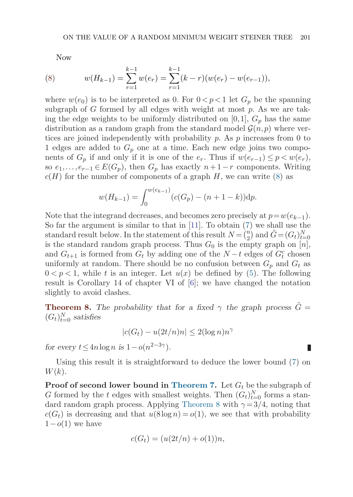<span id="page-14-0"></span>Now

(8) 
$$
w(H_{k-1}) = \sum_{r=1}^{k-1} w(e_r) = \sum_{r=1}^{k-1} (k-r)(w(e_r) - w(e_{r-1})),
$$

where  $w(e_0)$  is to be interpreted as 0. For  $0 < p < 1$  let  $G_p$  be the spanning subgraph of G formed by all edges with weight at most  $p$ . As we are taking the edge weights to be uniformly distributed on [0,1],  $G_p$  has the same distribution as a random graph from the standard model  $\mathcal{G}(n, p)$  where vertices are joined independently with probability  $p$ . As  $p$  increases from 0 to 1 edges are added to  $G_p$  one at a time. Each new edge joins two components of  $G_p$  if and only if it is one of the  $e_r$ . Thus if  $w(e_{r-1}) \leq p \leq w(e_r)$ , so  $e_1, \ldots, e_{r-1} \in E(G_p)$ , then  $G_p$  has exactly  $n+1-r$  components. Writing  $c(H)$  for the number of components of a graph H, we can write (8) as

$$
w(H_{k-1}) = \int_0^{w(e_{k-1})} (c(G_p) - (n+1-k)) \mathrm{d}p.
$$

Note that the integrand decreases, and becomes zero precisely at  $p=w(e_{k-1})$ . So far the argument is similar to that in [\[11](#page-19-0)]. To obtain [\(7\)](#page-12-0) we shall use the standard result below. In the statement of this result  $N = \binom{n}{2}$  and  $\tilde{G} = (G_t)_{t=0}^N$ is the standard random graph process. Thus  $G_0$  is the empty graph on [n], and  $G_{t+1}$  is formed from  $G_t$  by adding one of the  $N-t$  edges of  $G_t^c$  chosen uniformly at random. There should be no confusion between  $G_p$  and  $G_t$  as  $0 < p < 1$ , while t is an integer. Let  $u(x)$  be defined by [\(5\)](#page-12-0). The following result is Corollary 14 of chapter VI of  $[6]$ ; we have changed the notation slightly to avoid clashes.

**Theorem 8.** *The probability that for a fixed*  $\gamma$  *the graph process*  $\tilde{G}$  =  $(G_t)_{t=0}^N$  *satisfies* 

$$
|c(G_t) - u(2t/n)n| \le 2(\log n)n^{\gamma}
$$

*for every*  $t \leq 4n \log n$  *is*  $1 - o(n^{2-3\gamma})$ *.* 

Using this result it is straightforward to deduce the lower bound [\(7\)](#page-12-0) on  $W(k).$ 

**Proof of second lower bound in [Theorem 7](#page-12-0).** Let  $G_t$  be the subgraph of G formed by the t edges with smallest weights. Then  $(G_t)_{t=0}^N$  forms a standard random graph process. Applying Theorem 8 with  $\gamma = 3/4$ , noting that  $c(G_t)$  is decreasing and that  $u(8\log n) = o(1)$ , we see that with probability  $1-o(1)$  we have

$$
c(G_t) = (u(2t/n) + o(1))n,
$$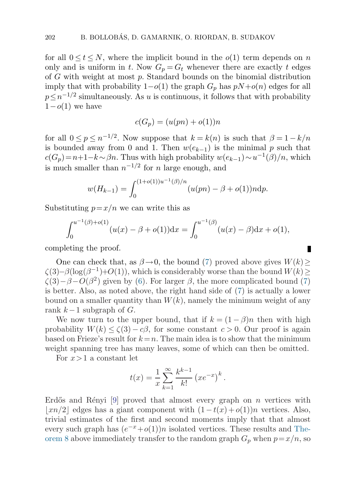for all  $0 \le t \le N$ , where the implicit bound in the  $o(1)$  term depends on n only and is uniform in t. Now  $G_p = G_t$  whenever there are exactly t edges of  $G$  with weight at most  $p$ . Standard bounds on the binomial distribution imply that with probability  $1-o(1)$  the graph  $G_p$  has  $pN+o(n)$  edges for all  $p \leq n^{-1/2}$  simultaneously. As u is continuous, it follows that with probability  $1-o(1)$  we have

$$
c(G_p) = (u(pn) + o(1))n
$$

for all  $0 \le p \le n^{-1/2}$ . Now suppose that  $k = k(n)$  is such that  $\beta = 1 - k/n$ is bounded away from 0 and 1. Then  $w(e_{k-1})$  is the minimal p such that  $c(G_p)=n+1-k~\sim~\beta n$ . Thus with high probability  $w(e_{k-1})\sim u^{-1}(\beta)/n$ , which is much smaller than  $n^{-1/2}$  for n large enough, and

$$
w(H_{k-1}) = \int_0^{(1+o(1))u^{-1}(\beta)/n} (u(pn) - \beta + o(1))n \, dp.
$$

Substituting  $p = x/n$  we can write this as

$$
\int_0^{u^{-1}(\beta)+o(1)} (u(x)-\beta+o(1))dx = \int_0^{u^{-1}(\beta)} (u(x)-\beta)dx + o(1),
$$

П

completing the proof.

One can check that, as  $\beta \rightarrow 0$ , the bound ([7](#page-12-0)) proved above gives  $W(k) \geq$  $\zeta(3)-\beta(\log(\beta^{-1})+O(1))$ , which is considerably worse than the bound  $W(k)$  $\zeta(3)-\beta-O(\beta^2)$  given by [\(6\)](#page-12-0). For larger  $\beta$ , the more complicated bound ([7\)](#page-12-0) is better. Also, as noted above, the right hand side of  $(7)$  $(7)$  $(7)$  is actually a lower bound on a smaller quantity than  $W(k)$ , namely the minimum weight of any rank  $k-1$  subgraph of  $G$ .

We now turn to the upper bound, that if  $k = (1 - \beta)n$  then with high probability  $W(k) \leq \zeta(3) - c\beta$ , for some constant  $c > 0$ . Our proof is again based on Frieze's result for  $k=n$ . The main idea is to show that the minimum weight spanning tree has many leaves, some of which can then be omitted.

For  $x>1$  a constant let

$$
t(x) = \frac{1}{x} \sum_{k=1}^{\infty} \frac{k^{k-1}}{k!} (xe^{-x})^k.
$$

Erdős and Rényi [\[9](#page-19-0)] proved that almost every graph on n vertices with  $\lfloor xn/2 \rfloor$  edges has a giant component with  $(1-t(x) + o(1))n$  vertices. Also, trivial estimates of the first andsecondmoments imply that that almost every such graph has  $(e^{-x}+o(1))n$  isolated vertices. These results and [The](#page-14-0)or[em 8](#page-14-0) above immediately transfer to the random graph  $G_p$  when  $p = x/n$ , so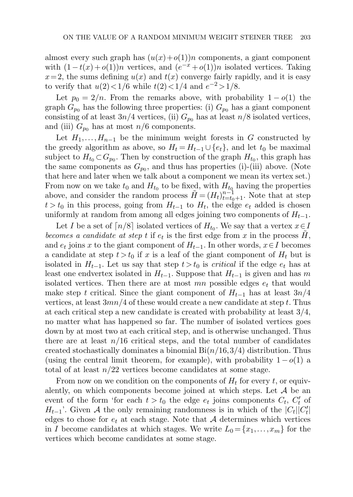almost every such graph has  $(u(x)+o(1))n$  components, a giant component with  $(1-t(x) + o(1))n$  vertices, and  $(e^{-x} + o(1))n$  isolated vertices. Taking  $x=2$ , the sums defining  $u(x)$  and  $t(x)$  converge fairly rapidly, and it is easy to verify that  $u(2) < 1/6$  while  $t(2) < 1/4$  and  $e^{-2} > 1/8$ .

Let  $p_0 = 2/n$ . From the remarks above, with probability  $1 - o(1)$  the graph  $G_{p_0}$  has the following three properties: (i)  $G_{p_0}$  has a giant component consisting of at least  $3n/4$  vertices, (ii)  $G_{p_0}$  has at least  $n/8$  isolated vertices, and (iii)  $G_{p_0}$  has at most  $n/6$  components.

Let  $H_1, \ldots, H_{n-1}$  be the minimum weight forests in G constructed by the greedy algorithm as above, so  $H_t = H_{t-1} \cup \{e_t\}$ , and let  $t_0$  be maximal subject to  $H_{t_0} \subset G_{p_0}$ . Then by construction of the graph  $H_{t_0}$ , this graph has the same components as  $G_{p_0}$ , and thus has properties (i)-(iii) above. (Note that here and later when we talk about a component we mean its vertex set.) From now on we take  $t_0$  and  $H_{t_0}$  to be fixed, with  $H_{t_0}$  having the properties above, and consider the random process  $\tilde{H} = (H_t)_{t=t_0+1}^{n-1}$ . Note that at step  $t > t_0$  in this process, going from  $H_{t-1}$  to  $H_t$ , the edge  $e_t$  added is chosen uniformly at random from among all edges joining two components of  $H_{t-1}$ .

Let I be a set of  $\lceil n/8 \rceil$  isolated vertices of  $H_{t_0}$ . We say that a vertex  $x \in I$ becomes a candidate at step t if  $e_t$  is the first edge from x in the process H, and  $e_t$  joins x to the giant component of  $H_{t-1}$ . In other words,  $x \in I$  becomes a candidate at step  $t>t_0$  if x is a leaf of the giant component of  $H_t$  but is isolated in  $H_{t-1}$ . Let us say that step  $t>t_0$  is *critical* if the edge  $e_t$  has at least one endvertex isolated in  $H_{t-1}$ . Suppose that  $H_{t-1}$  is given and has m isolated vertices. Then there are at most  $mn$  possible edges  $e_t$  that would make step t critical. Since the giant component of  $H_{t-1}$  has at least  $3n/4$ vertices, at least  $3mn/4$  of these would create a new candidate at step t. Thus at each critical step a new candidate is created with probability at least 3/4, no matter what has happened so far. The number of isolated vertices goes down by at most two at each critical step, and is otherwise unchanged. Thus there are at least  $n/16$  critical steps, and the total number of candidates created stochastically dominates a binomial  $Bi(n/16,3/4)$  distribution. Thus (using the central limit theorem, for example), with probability  $1-o(1)$  a total of at least  $n/22$  vertices become candidates at some stage.

From now on we condition on the components of  $H_t$  for every t, or equivalently, on which components become joined at which steps. Let  $A$  be an event of the form 'for each  $t > t_0$  the edge  $e_t$  joins components  $C_t$ ,  $C'_t$  of  $H_{t-1}$ '. Given A the only remaining randomness is in which of the  $|C_t||C_t'|$ edges to chose for  $e_t$  at each stage. Note that A determines which vertices in I become candidates at which stages. We write  $L_0 = \{x_1, \ldots, x_m\}$  for the vertices which become candidates at some stage.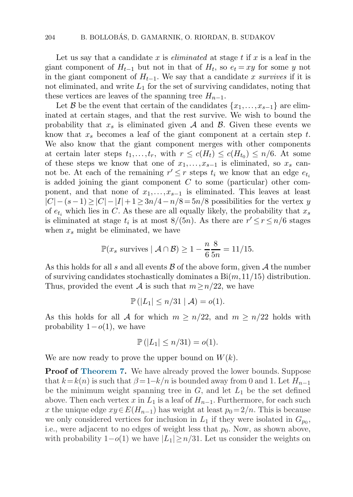Let us say that a candidate x is *eliminated* at stage t if x is a leaf in the giant component of  $H_{t-1}$  but not in that of  $H_t$ , so  $e_t = xy$  for some y not in the giant component of  $H_{t-1}$ . We say that a candidate x survives if it is not eliminated, and write  $L_1$  for the set of surviving candidates, noting that these vertices are leaves of the spanning tree  $H_{n-1}$ .

Let B be the event that certain of the candidates  $\{x_1,\ldots,x_{s-1}\}$  are eliminated at certain stages, and that the rest survive. We wish to bound the probability that  $x_s$  is eliminated given A and B. Given these events we know that  $x_s$  becomes a leaf of the giant component at a certain step t. We also know that the giant component merges with other components at certain later steps  $t_1,\ldots,t_r$ , with  $r \leq c(H_t) \leq c(H_{t_0}) \leq n/6$ . At some of these steps we know that one of  $x_1, \ldots, x_{s-1}$  is eliminated, so  $x_s$  cannot be. At each of the remaining  $r' \leq r$  steps  $t_i$  we know that an edge  $e_{t_i}$ is added joining the giant component  $C$  to some (particular) other component, and that none of  $x_1, \ldots, x_{s-1}$  is eliminated. This leaves at least  $|C|-(s-1)\geq |C|-|I|+1\geq 3n/4-n/8=5n/8$  possibilities for the vertex y of  $e_{t_i}$  which lies in C. As these are all equally likely, the probability that  $x_s$ is eliminated at stage  $t_i$  is at most  $8/(5n)$ . As there are  $r' \leq r \leq n/6$  stages when  $x_s$  might be eliminated, we have

$$
\mathbb{P}(x_s \text{ survives} \mid \mathcal{A} \cap \mathcal{B}) \ge 1 - \frac{n}{6} \frac{8}{5n} = 11/15.
$$

As this holds for all s and all events  $\beta$  of the above form, given  $\mathcal A$  the number of surviving candidates stochastically dominates a  $Bi(m,11/15)$  distribution. Thus, provided the event A is such that  $m \geq n/22$ , we have

$$
\mathbb{P}(|L_1| \leq n/31 \mid \mathcal{A}) = o(1).
$$

As this holds for all A for which  $m \geq n/22$ , and  $m \geq n/22$  holds with probability  $1-o(1)$ , we have

$$
\mathbb{P}(|L_1| \le n/31) = o(1).
$$

We are now ready to prove the upper bound on  $W(k)$ .

**Proof of [Theorem 7.](#page-12-0)** We have already proved the lower bounds. Suppose that  $k=k(n)$  is such that  $\beta = 1-k/n$  is bounded away from 0 and 1. Let  $H_{n-1}$ be the minimum weight spanning tree in  $G$ , and let  $L_1$  be the set defined above. Then each vertex x in  $L_1$  is a leaf of  $H_{n-1}$ . Furthermore, for each such x the unique edge  $xy \in E(H_{n-1})$  has weight at least  $p_0 = 2/n$ . This is because we only considered vertices for inclusion in  $L_1$  if they were isolated in  $G_{p_0}$ , i.e., were adjacent to no edges of weight less that  $p_0$ . Now, as shown above, with probability  $1-o(1)$  we have  $|L_1|\geq n/31$ . Let us consider the weights on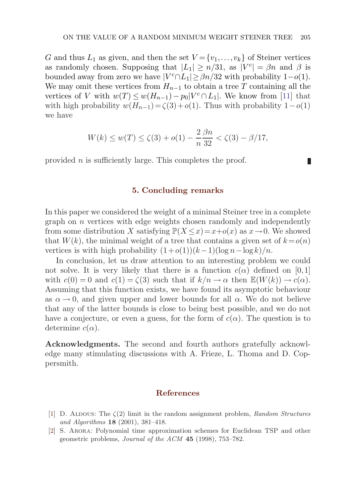<span id="page-18-0"></span>G and thus  $L_1$  as given, and then the set  $V = \{v_1, \ldots, v_k\}$  of Steiner vertices as randomly chosen. Supposing that  $|L_1| \ge n/31$ , as  $|V^c| = \beta n$  and  $\beta$  is bounded away from zero we have  $|V^c \cap L_1| \geq \beta n/32$  with probability  $1-o(1)$ . We may omit these vertices from  $H_{n-1}$  to obtain a tree T containing all the vertices of V with  $w(T) \leq w(H_{n-1}) - p_0|V^c \cap L_1|$ . We know from [\[11\]](#page-19-0) that with high probability  $w(H_{n-1}) = \zeta(3) + o(1)$ . Thus with probability 1 –  $o(1)$ we have

$$
W(k) \le w(T) \le \zeta(3) + o(1) - \frac{2}{n} \frac{\beta n}{32} < \zeta(3) - \beta/17,
$$

provided n is sufficiently large. This completes the proof.

#### П

#### **5. Concluding remarks**

In this paper we considered the weight of a minimal Steiner tree in a complete graph on  $n$  vertices with edge weights chosen randomly and independently from some distribution X satisfying  $\mathbb{P}(X \leq x) = x+o(x)$  as  $x \to 0$ . We showed that  $W(k)$ , the minimal weight of a tree that contains a given set of  $k=o(n)$ vertices is with high probability  $(1+o(1))(k-1)(\log n-\log k)/n$ .

In conclusion, let us draw attention to an interesting problem we could not solve. It is very likely that there is a function  $c(\alpha)$  defined on [0,1] with  $c(0) = 0$  and  $c(1) = \zeta(3)$  such that if  $k/n \to \alpha$  then  $\mathbb{E}(W(k)) \to c(\alpha)$ . Assuming that this function exists, we have foundits asymptotic behaviour as  $\alpha \rightarrow 0$ , and given upper and lower bounds for all  $\alpha$ . We do not believe that any of the latter bounds is close to being best possible, and we do not have a conjecture, or even a guess, for the form of  $c(\alpha)$ . The question is to determine  $c(\alpha)$ .

**Acknowledgments.** The second and fourth authors gratefully acknowledge many stimulating discussions with A. Frieze, L. Thoma and D. Coppersmith.

#### **References**

- [1] D. ALDOUS: The  $\zeta(2)$  limit in the random assignment problem, Random Structures and Algorithms **18** (2001), 381–418.
- [2] S. Arora: Polynomial time approximation schemes for Euclidean TSP and other geometric problems, Journal of the ACM **45** (1998), 753–782.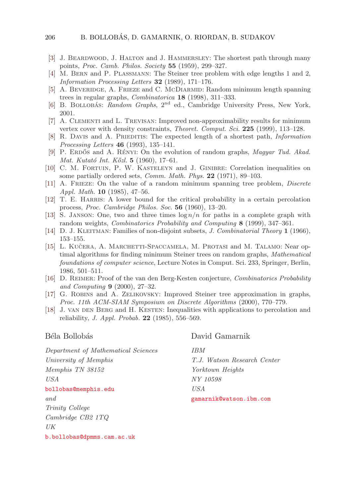#### <span id="page-19-0"></span>206 B. BOLLOBÁS, D. GAMARNIK, O. RIORDAN, B. SUDAKOV

- [3] J. Beardwood, J. Halton and J. Hammersley: The shortest path through many points, Proc.Camb.Philos.Society **55** (1959), 299–327.
- [4] M. Bern and P. Plassmann: The Steiner tree problem with edge lengths 1 and 2, Information Processing Letters **32** (1989), 171–176.
- [5] A. Beveridge, A. Frieze and C. McDiarmid: Random minimum length spanning trees in regular graphs, Combinatorica **18** (1998), 311–333.
- [6] B. BOLLOBÁS: Random Graphs,  $2<sup>nd</sup>$  ed., Cambridge University Press, New York, 2001.
- [7] A. Clementi and L. Trevisan: Improved non-approximability results for minimum vertex cover with density constraints, *Theoret. Comput. Sci.* **225** (1999), 113–128.
- [8] R. Davis and A. Prieditis: The expected length of a shortest path, Information Processing Letters **46** (1993), 135–141.
- [9] P. ERDŐS and A. RÉNYI: On the evolution of random graphs, Magyar Tud. Akad. Mat. Kutató Int. Kőzl. **5** (1960), 17–61.
- [10] C. M. Fortuin, P. W. Kasteleyn and J. Ginibre: Correlation inequalities on some partially ordered sets, *Comm. Math. Phys.* **22** (1971), 89–103.
- [11] A. Frieze: On the value of a random minimum spanning tree problem, Discrete Appl.Math. **10** (1985), 47–56.
- [12] T. E. Harris: A lower bound for the critical probability in a certain percolation process, Proc.Cambridge Philos.Soc. **56** (1960), 13–20.
- [13] S. JANSON: One, two and three times  $\log n/n$  for paths in a complete graph with random weights, Combinatorics Probability and Computing **8** (1999), 347–361.
- [14] D. J. Kleitman: Families of non-disjoint subsets, J.Combinatorial Theory **1** (1966), 153–155.
- [15] L. KUČERA, A. MARCHETTI-SPACCAMELA, M. PROTASI and M. TALAMO: Near optimal algorithms for finding minimum Steiner trees on random graphs, Mathematical foundations of computer science, Lecture Notes in Comput. Sci. 233, Springer, Berlin, 1986, 501–511.
- [16] D. Reimer: Proof of the van den Berg-Kesten conjecture, Combinatorics Probability and Computing **9** (2000), 27–32.
- [17] G. Robins and A. Zelikovsky: Improved Steiner tree approximation in graphs, Proc.11th ACM-SIAM Symposium on Discrete Algorithms (2000), 770–779.
- [18] J. VAN DEN BERG and H. KESTEN: Inequalities with applications to percolation and reliability, J.Appl.Probab. **22** (1985), 556–569.

# Béla Bollobás

DavidGamarnik

Department of Mathematical Sciences University of Memphis Memphis TN 38152 USA [bollobas@memphis.edu](mailto:bollobas@memphis.edu) and Trinity College Cambridge CB2 1TQ UK [b.bollobas@dpmms.cam.ac.uk](mailto:b.bollobas@dpmms.cam.ac.uk) IBM T.J. Watson Research Center Yorktown Heights NY 10598 USA [gamarnik@watson.ibm.com](mailto:gamarnik@watson.ibm.com)